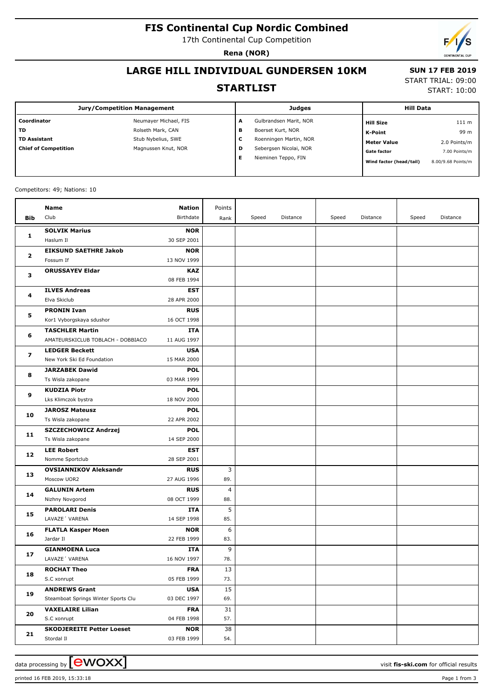# **FIS Continental Cup Nordic Combined**

17th Continental Cup Competition

**Rena (NOR)**

 **SUN 17 FEB 2019** START TRIAL: 09:00 START: 10:00

## **LARGE HILL INDIVIDUAL GUNDERSEN 10KM**

#### **STARTLIST**

| <b>Jury/Competition Management</b> |                       |   | <b>Judges</b>          | <b>Hill Data</b> |                         |                    |
|------------------------------------|-----------------------|---|------------------------|------------------|-------------------------|--------------------|
| Coordinator                        | Neumayer Michael, FIS | A | Gulbrandsen Marit, NOR |                  | <b>Hill Size</b>        | 111 m              |
| <b>TD</b>                          | Rolseth Mark, CAN     | в | Boerset Kurt, NOR      |                  | K-Point                 | 99 m               |
| <b>TD Assistant</b>                | Stub Nybelius, SWE    | c | Roenningen Martin, NOR |                  | <b>Meter Value</b>      | 2.0 Points/m       |
| <b>Chief of Competition</b>        | Magnussen Knut, NOR   | D | Sebergsen Nicolai, NOR |                  | <b>Gate factor</b>      | 7.00 Points/m      |
|                                    |                       | Е | Nieminen Teppo, FIN    |                  | Wind factor (head/tail) | 8.00/9.68 Points/m |
|                                    |                       |   |                        |                  |                         |                    |

#### Competitors: 49; Nations: 10

|     | Name                                    | Nation                    | Points   |       |          |       |          |       |          |
|-----|-----------------------------------------|---------------------------|----------|-------|----------|-------|----------|-------|----------|
| Bib | Club                                    | Birthdate                 | Rank     | Speed | Distance | Speed | Distance | Speed | Distance |
|     | <b>SOLVIK Marius</b>                    | <b>NOR</b>                |          |       |          |       |          |       |          |
| 1   | Haslum II                               | 30 SEP 2001               |          |       |          |       |          |       |          |
| 2   | <b>EIKSUND SAETHRE Jakob</b>            | <b>NOR</b>                |          |       |          |       |          |       |          |
|     | Fossum If                               | 13 NOV 1999               |          |       |          |       |          |       |          |
| з   | <b>ORUSSAYEV Eldar</b>                  | <b>KAZ</b>                |          |       |          |       |          |       |          |
|     |                                         | 08 FEB 1994               |          |       |          |       |          |       |          |
| 4   | <b>ILVES Andreas</b>                    | EST                       |          |       |          |       |          |       |          |
|     | Elva Skiclub                            | 28 APR 2000               |          |       |          |       |          |       |          |
| 5   | <b>PRONIN Ivan</b>                      | <b>RUS</b>                |          |       |          |       |          |       |          |
|     | Kor1 Vyborgskaya sdushor                | 16 OCT 1998               |          |       |          |       |          |       |          |
|     | <b>TASCHLER Martin</b>                  | <b>ITA</b>                |          |       |          |       |          |       |          |
| 6   | AMATEURSKICLUB TOBLACH - DOBBIACO       | 11 AUG 1997               |          |       |          |       |          |       |          |
| 7   | <b>LEDGER Beckett</b>                   | <b>USA</b>                |          |       |          |       |          |       |          |
|     | New York Ski Ed Foundation              | 15 MAR 2000               |          |       |          |       |          |       |          |
| 8   | <b>JARZABEK Dawid</b>                   | <b>POL</b>                |          |       |          |       |          |       |          |
|     | Ts Wisla zakopane                       | 03 MAR 1999               |          |       |          |       |          |       |          |
| 9   | <b>KUDZIA Piotr</b>                     | <b>POL</b>                |          |       |          |       |          |       |          |
|     | Lks Klimczok bystra                     | 18 NOV 2000               |          |       |          |       |          |       |          |
| 10  | <b>JAROSZ Mateusz</b>                   | <b>POL</b>                |          |       |          |       |          |       |          |
|     | Ts Wisla zakopane                       | 22 APR 2002               |          |       |          |       |          |       |          |
| 11  | <b>SZCZECHOWICZ Andrzej</b>             | <b>POL</b>                |          |       |          |       |          |       |          |
|     | Ts Wisla zakopane                       | 14 SEP 2000               |          |       |          |       |          |       |          |
| 12  | <b>LEE Robert</b>                       | <b>EST</b>                |          |       |          |       |          |       |          |
|     | Nomme Sportclub                         | 28 SEP 2001               |          |       |          |       |          |       |          |
| 13  | <b>OVSIANNIKOV Aleksandr</b>            | <b>RUS</b>                | 3        |       |          |       |          |       |          |
|     | Moscow UOR2                             | 27 AUG 1996               | 89.      |       |          |       |          |       |          |
| 14  | <b>GALUNIN Artem</b>                    | <b>RUS</b>                | 4        |       |          |       |          |       |          |
|     | Nizhny Novgorod                         | 08 OCT 1999               | 88.      |       |          |       |          |       |          |
| 15  | <b>PAROLARI Denis</b><br>LAVAZE' VARENA | <b>ITA</b>                | 5        |       |          |       |          |       |          |
|     |                                         | 14 SEP 1998               | 85.      |       |          |       |          |       |          |
| 16  | <b>FLATLA Kasper Moen</b><br>Jardar II  | <b>NOR</b><br>22 FEB 1999 | 6<br>83. |       |          |       |          |       |          |
|     | <b>GIANMOENA Luca</b>                   | ITA                       | 9        |       |          |       |          |       |          |
| 17  | LAVAZE 'VARENA                          | 16 NOV 1997               | 78.      |       |          |       |          |       |          |
|     | <b>ROCHAT Theo</b>                      | <b>FRA</b>                | 13       |       |          |       |          |       |          |
| 18  | S.C xonrupt                             | 05 FEB 1999               | 73.      |       |          |       |          |       |          |
|     | <b>ANDREWS Grant</b>                    | <b>USA</b>                | 15       |       |          |       |          |       |          |
| 19  | Steamboat Springs Winter Sports Clu     | 03 DEC 1997               | 69.      |       |          |       |          |       |          |
|     | <b>VAXELAIRE Lilian</b>                 | <b>FRA</b>                | 31       |       |          |       |          |       |          |
| 20  | S.C xonrupt                             | 04 FEB 1998               | 57.      |       |          |       |          |       |          |
|     | <b>SKODJEREITE Petter Loeset</b>        | <b>NOR</b>                | 38       |       |          |       |          |       |          |
| 21  | Stordal II                              | 03 FEB 1999               | 54.      |       |          |       |          |       |          |

printed 16 FEB 2019, 15:33:18 Page 1 from 3

data processing by **CWOXX**  $\blacksquare$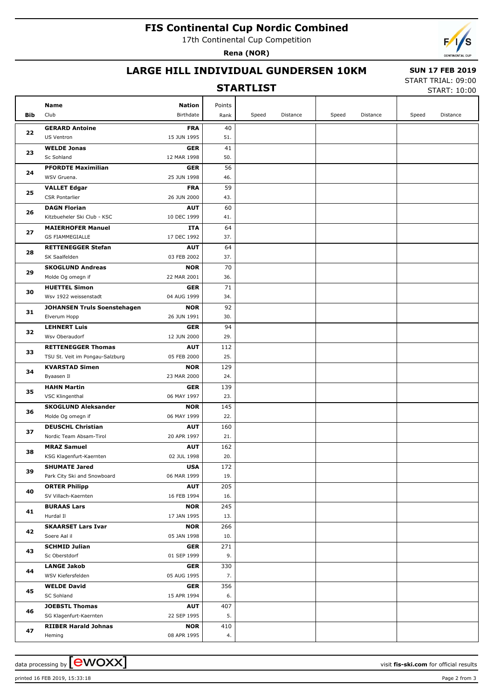# **FIS Continental Cup Nordic Combined**

17th Continental Cup Competition

**Rena (NOR)**



#### **LARGE HILL INDIVIDUAL GUNDERSEN 10KM**

#### **STARTLIST**

 **SUN 17 FEB 2019** START TRIAL: 09:00

START: 10:00

|            | <b>Name</b>                                                  | <b>Nation</b>             |                  |       |          |       |          |       |          |
|------------|--------------------------------------------------------------|---------------------------|------------------|-------|----------|-------|----------|-------|----------|
| <b>Bib</b> | Club                                                         | Birthdate                 | Points<br>Rank   | Speed | Distance | Speed | Distance | Speed | Distance |
|            |                                                              |                           |                  |       |          |       |          |       |          |
| 22         | <b>GERARD Antoine</b>                                        | <b>FRA</b>                | 40               |       |          |       |          |       |          |
|            | US Ventron                                                   | 15 JUN 1995               | 51.              |       |          |       |          |       |          |
| 23         | <b>WELDE Jonas</b><br>Sc Sohland                             | <b>GER</b><br>12 MAR 1998 | 41<br>50.        |       |          |       |          |       |          |
|            | <b>PFORDTE Maximilian</b>                                    | <b>GER</b>                | 56               |       |          |       |          |       |          |
| 24<br>25   | WSV Gruena.                                                  | 25 JUN 1998               | 46.              |       |          |       |          |       |          |
|            | <b>VALLET Edgar</b>                                          | <b>FRA</b>                | 59               |       |          |       |          |       |          |
|            | <b>CSR Pontarlier</b>                                        | 26 JUN 2000               | 43.              |       |          |       |          |       |          |
| 26         | <b>DAGN Florian</b>                                          | <b>AUT</b>                | 60               |       |          |       |          |       |          |
|            | Kitzbueheler Ski Club - KSC                                  | 10 DEC 1999               | 41.              |       |          |       |          |       |          |
|            | <b>MAIERHOFER Manuel</b>                                     | ITA                       | 64               |       |          |       |          |       |          |
| 27         | <b>GS FIAMMEGIALLE</b>                                       | 17 DEC 1992               | 37.              |       |          |       |          |       |          |
| 28         | <b>RETTENEGGER Stefan</b>                                    | <b>AUT</b>                | 64               |       |          |       |          |       |          |
|            | SK Saalfelden                                                | 03 FEB 2002               | 37.              |       |          |       |          |       |          |
| 29         | <b>SKOGLUND Andreas</b>                                      | <b>NOR</b>                | 70               |       |          |       |          |       |          |
|            | Molde Og omegn if                                            | 22 MAR 2001               | 36.              |       |          |       |          |       |          |
| 30         | <b>HUETTEL Simon</b>                                         | <b>GER</b>                | 71               |       |          |       |          |       |          |
|            | Wsv 1922 weissenstadt                                        | 04 AUG 1999               | 34.              |       |          |       |          |       |          |
| 31         | <b>JOHANSEN Truls Soenstehagen</b>                           | <b>NOR</b>                | 92               |       |          |       |          |       |          |
|            | Elverum Hopp                                                 | 26 JUN 1991               | 30.              |       |          |       |          |       |          |
| 32         | <b>LEHNERT Luis</b>                                          | <b>GER</b>                | 94               |       |          |       |          |       |          |
| 33         | Wsv Oberaudorf                                               | 12 JUN 2000               | 29.              |       |          |       |          |       |          |
|            | <b>RETTENEGGER Thomas</b><br>TSU St. Veit im Pongau-Salzburg | <b>AUT</b><br>05 FEB 2000 | 112<br>25.       |       |          |       |          |       |          |
|            | <b>KVARSTAD Simen</b>                                        | <b>NOR</b>                | 129              |       |          |       |          |       |          |
| 34         | Byaasen Il                                                   | 23 MAR 2000               | 24.              |       |          |       |          |       |          |
|            | <b>HAHN Martin</b>                                           | <b>GER</b>                | 139              |       |          |       |          |       |          |
| 35         | VSC Klingenthal                                              | 06 MAY 1997               | 23.              |       |          |       |          |       |          |
|            | <b>SKOGLUND Aleksander</b>                                   | <b>NOR</b>                | 145              |       |          |       |          |       |          |
| 36         | Molde Og omegn if                                            | 06 MAY 1999               | 22.              |       |          |       |          |       |          |
|            | <b>DEUSCHL Christian</b>                                     | <b>AUT</b>                | 160              |       |          |       |          |       |          |
| 37         | Nordic Team Absam-Tirol                                      | 20 APR 1997               | 21.              |       |          |       |          |       |          |
| 38         | <b>MRAZ Samuel</b>                                           | <b>AUT</b>                | 162              |       |          |       |          |       |          |
|            | KSG Klagenfurt-Kaernten                                      | 02 JUL 1998               | 20.              |       |          |       |          |       |          |
| 39         | <b>SHUMATE Jared</b>                                         | <b>USA</b>                | $\overline{172}$ |       |          |       |          |       |          |
|            | Park City Ski and Snowboard                                  | 06 MAR 1999               | 19.              |       |          |       |          |       |          |
| 40         | <b>ORTER Philipp</b>                                         | <b>AUT</b>                | 205              |       |          |       |          |       |          |
|            | SV Villach-Kaernten                                          | 16 FEB 1994               | 16.              |       |          |       |          |       |          |
| 41         | <b>BURAAS Lars</b>                                           | <b>NOR</b>                | 245              |       |          |       |          |       |          |
|            | Hurdal II                                                    | 17 JAN 1995               | 13.              |       |          |       |          |       |          |
| 42         | <b>SKAARSET Lars Ivar</b><br>Soere Aal il                    | <b>NOR</b><br>05 JAN 1998 | 266<br>10.       |       |          |       |          |       |          |
|            | <b>SCHMID Julian</b>                                         | GER                       | 271              |       |          |       |          |       |          |
| 43         | Sc Oberstdorf                                                | 01 SEP 1999               | 9.               |       |          |       |          |       |          |
|            | <b>LANGE Jakob</b>                                           | GER                       | 330              |       |          |       |          |       |          |
| 44         | WSV Kiefersfelden                                            | 05 AUG 1995               | 7.               |       |          |       |          |       |          |
|            | <b>WELDE David</b>                                           | GER                       | 356              |       |          |       |          |       |          |
| 45         | SC Sohland                                                   | 15 APR 1994               | 6.               |       |          |       |          |       |          |
| 46         | <b>JOEBSTL Thomas</b>                                        | <b>AUT</b>                | 407              |       |          |       |          |       |          |
|            | SG Klagenfurt-Kaernten                                       | 22 SEP 1995               | 5.               |       |          |       |          |       |          |
|            | <b>RIIBER Harald Johnas</b>                                  | <b>NOR</b>                | 410              |       |          |       |          |       |          |
| 47         | Heming                                                       | 08 APR 1995               | 4.               |       |          |       |          |       |          |

printed 16 FEB 2019, 15:33:18 Page 2 from 3

data processing by **CWOXX** and  $\overline{A}$  wisit **fis-ski.com** for official results